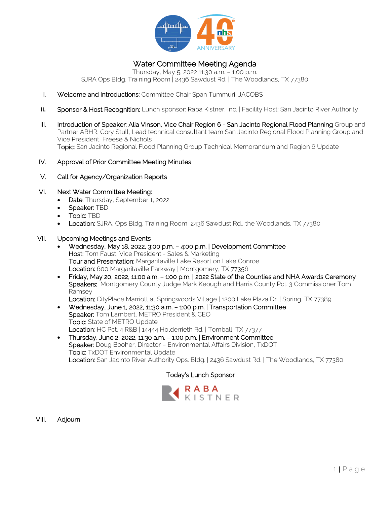

# Water Committee Meeting Agenda

Thursday, May 5, 2022 11:30 a.m. – 1:00 p.m. SJRA Ops Bldg. Training Room | 2436 Sawdust Rd. | The Woodlands, TX 77380

- I. Welcome and Introductions: Committee Chair Span Tummuri, JACOBS
- **II.** Sponsor & Host Recognition: Lunch sponsor: Raba Kistner, Inc. | Facility Host: San Jacinto River Authority
- III. Introduction of Speaker: Alia Vinson, Vice Chair Region 6 San Jacinto Regional Flood Planning Group and Partner ABHR; Cory Stull, Lead technical consultant team San Jacinto Regional Flood Planning Group and Vice President, Freese & Nichols Topic: San Jacinto Regional Flood Planning Group Technical Memorandum and Region 6 Update
- IV. Approval of Prior Committee Meeting Minutes
- V. Call for Agency/Organization Reports
- VI. Next Water Committee Meeting:
	- Date: Thursday, September 1, 2022
	- Speaker: TBD
		- Topic: TBD
		- Location: SJRA, Ops Bldg. Training Room, 2436 Sawdust Rd., the Woodlands, TX 77380

#### VII. Upcoming Meetings and Events

- Wednesday, May 18, 2022, 3:00 p.m. 4:00 p.m. | Development Committee Host: Tom Faust, Vice President - Sales & Marketing Tour and Presentation: Margaritaville Lake Resort on Lake Conroe Location: 600 Margaritaville Parkway | Montgomery, TX 77356
- Friday, May 20, 2022, 11:00 a.m. 1:00 p.m. | 2022 State of the Counties and NHA Awards Ceremony Speakers: Montgomery County Judge Mark Keough and Harris County Pct. 3 Commissioner Tom Ramsey

Location: CityPlace Marriott at Springwoods Village | 1200 Lake Plaza Dr. | Spring, TX 77389

- Wednesday, June 1, 2022, 11:30 a.m. 1:00 p.m. | Transportation Committee Speaker: Tom Lambert, METRO President & CEO Topic: State of METRO Update Location: HC Pct. 4 R&B | 14444 Holderrieth Rd. | Tomball, TX 77377
- Thursday, June 2, 2022, 11:30 a.m. 1:00 p.m. | Environment Committee Speaker: Doug Booher, Director – Environmental Affairs Division, TxDOT Topic: TxDOT Environmental Update Location: San Jacinto River Authority Ops. Bldg. | 2436 Sawdust Rd. | The Woodlands, TX 77380

#### Today's Lunch Sponsor



VIII. Adjourn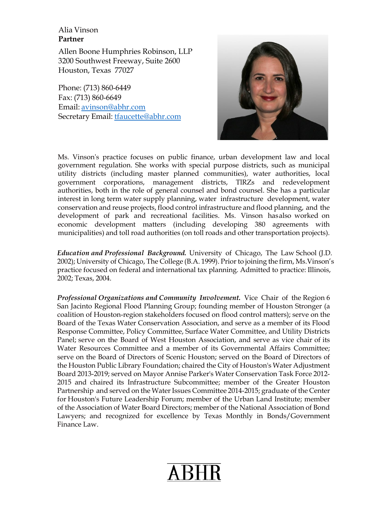### Alia Vinson **Partner**

Allen Boone Humphries Robinson, LLP 3200 Southwest Freeway, Suite 2600 Houston, Texas 77027

Phone: (713) 860-6449 Fax: (713) [860-6649](mailto:avinson@abhr.com) Email: avins[on@abhr.com](mailto:tfaucette@abhr.com) Secretary Email: [tfaucette@abhr.com](mailto:tfaucette@abhr.com)



Ms. Vinson's practice focuses on public finance, urban development law and local government regulation. She works with special purpose districts, such as municipal utility districts (including master planned communities), water authorities, local government corporations, management districts, TlRZs and redevelopment authorities, both in the role of general counsel and bond counsel. She has a particular interest in long term water supply planning, water infrastructure development, water conservation and reuse projects, flood control infrastructure and flood planning, and the development of park and recreational facilities. Ms. Vinson hasalso worked on economic development matters (including developing 380 agreements with municipalities) and toll road authorities (on toll roads and other transportation projects).

*Education and Professional Background.* University of Chicago, The Law School (J.D. 2002); University of Chicago, The College (B.A. 1999). Priorto joining the firm, Ms.Vinson's practice focused on federal and international tax planning. Admitted to practice: Illinois, 2002; Texas, 2004.

*Professional Organizations and Community Involvement.* Vice Chair of the Region 6 San Jacinto Regional Flood Planning Group; founding member of Houston Stronger (a coalition of Houston-region stakeholders focused on flood control matters); serve on the Board of the Texas Water Conservation Association, and serve as a member of its Flood Response Committee, Policy Committee, Surface Water Committee, and Utility Districts Panel; serve on the Board of West Houston Association, and serve as vice chair of its Water Resources Committee and a member of its Governmental Affairs Committee; serve on the Board of Directors of Scenic Houston; served on the Board of Directors of the Houston Public Library Foundation; chaired the City of Houston's Water Adjustment Board 2013-2019; served on Mayor Annise Parker's Water Conservation Task Force 2012- 2015 and chaired its Infrastructure Subcommittee; member of the Greater Houston Partnership and served on the Water Issues Committee 2014-2015; graduate of the Center for Houston's Future Leadership Forum; member of the Urban Land Institute; member of the Association of Water Board Directors; member of the National Association of Bond Lawyers; and recognized for excellence by Texas Monthly in Bonds/Government Finance Law.

**ARH**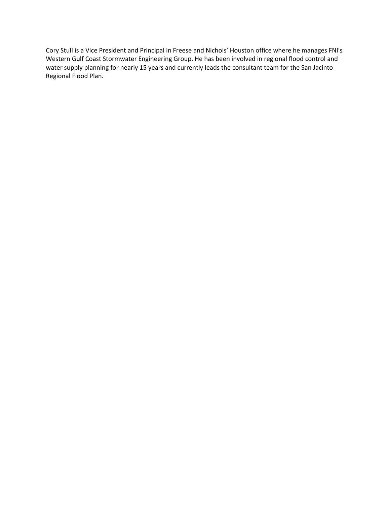Cory Stull is a Vice President and Principal in Freese and Nichols' Houston office where he manages FNI's Western Gulf Coast Stormwater Engineering Group. He has been involved in regional flood control and water supply planning for nearly 15 years and currently leads the consultant team for the San Jacinto Regional Flood Plan.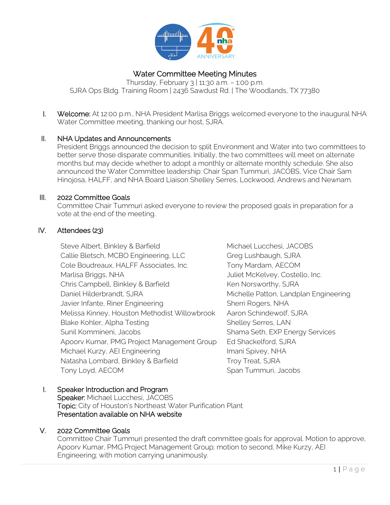

# Water Committee Meeting Minutes

Thursday, February 3 | 11:30 a.m. – 1:00 p.m. SJRA Ops Bldg. Training Room | 2436 Sawdust Rd. | The Woodlands, TX 77380

I. Welcome: At 12:00 p.m., NHA President Marlisa Briggs welcomed everyone to the inaugural NHA Water Committee meeting, thanking our host, SJRA.

### II. NHA Updates and Announcements

President Briggs announced the decision to split Environment and Water into two committees to better serve those disparate communities. Initially, the two committees will meet on alternate months but may decide whether to adopt a monthly or alternate monthly schedule. She also announced the Water Committee leadership: Chair Span Tummuri, JACOBS, Vice Chair Sam Hinojosa, HALFF, and NHA Board Liaison Shelley Serres, Lockwood, Andrews and Newnam.

#### III. 2022 Committee Goals

Committee Chair Tummuri asked everyone to review the proposed goals in preparation for a vote at the end of the meeting.

#### IV. Attendees (23)

Steve Albert, Binkley & Barfield Michael Lucchesi, JACOBS Callie Bletsch, MCBO Engineering, LLC Greg Lushbaugh, SJRA Cole Boudreaux, HALFF Associates, Inc. Tony Mardam, AECOM Marlisa Briggs, NHA Juliet McKelvey, Costello, Inc. Chris Campbell, Binkley & Barfield Ken Norsworthy, SJRA Daniel Hilderbrandt, SJRA Michelle Patton, Landplan Engineering Javier Infante, Riner Engineering Sherri Rogers, NHA Melissa Kinney, Houston Methodist Willowbrook Aaron Schindewolf, SJRA Blake Kohler, Alpha Testing Shelley Serres, LAN Sunil Kommineni, Jacobs Shama Seth, EXP Energy Services Apoorv Kumar, PMG Project Management Group Ed Shackelford, SJRA Michael Kurzy, AEI Engineering Imani Spivey, NHA Natasha Lombard, Binkley & Barfield Troy Treat, SJRA Tony Loyd, AECOM Span Tummuri, Jacobs

## I. Speaker Introduction and Program

Speaker: Michael Lucchesi, JACOBS Topic: City of Houston's Northeast Water Purification Plant Presentation available on NHA website

## V. 2022 Committee Goals

Committee Chair Tummuri presented the draft committee goals for approval. Motion to approve, Apoorv Kumar, PMG Project Management Group; motion to second, Mike Kurzy, AEI Engineering; with motion carrying unanimously.